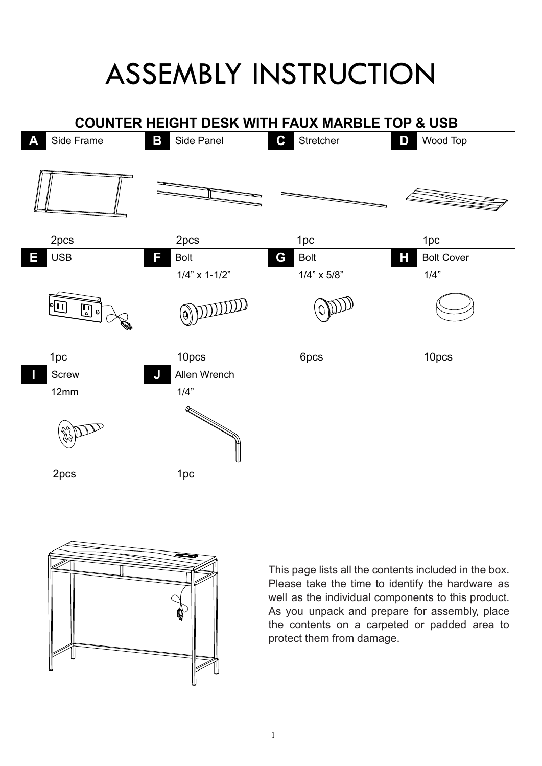## ASSEMBLY INSTRUCTION





This page lists all the contents included in the box. Please take the time to identify the hardware as well as the individual components to this product. As you unpack and prepare for assembly, place the contents on a carpeted or padded area to protect them from damage.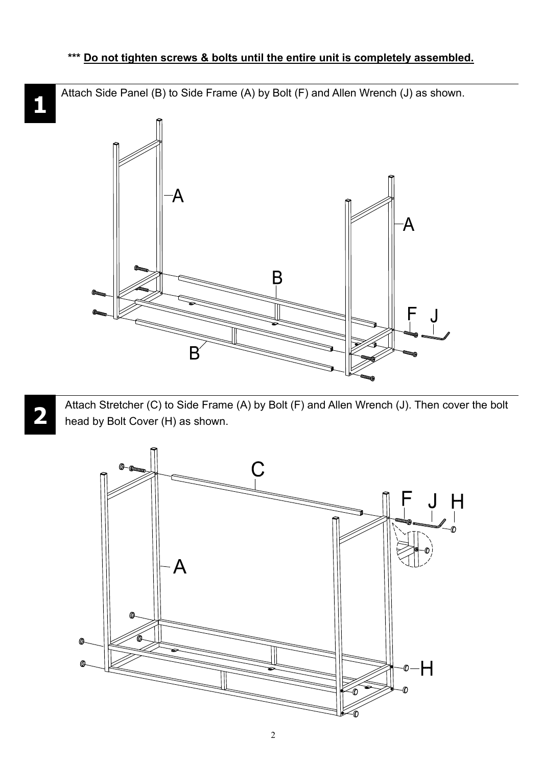Attach Side Panel (B) to Side Frame (A) by Bolt (F) and Allen Wrench (J) as shown.



Attach Stretcher (C) to Side Frame (A) by Bolt (F) and Allen Wrench (J). Then cover the bolt head by Bolt Cover (H) as shown.



 $\mathbf{1}$ 

**2**